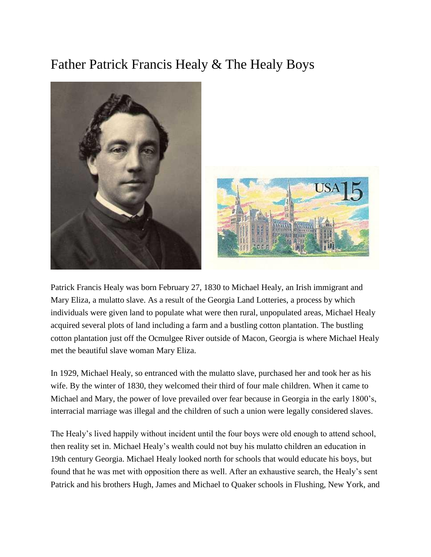## Father Patrick Francis Healy & The Healy Boys



Patrick Francis Healy was born February 27, 1830 to Michael Healy, an Irish immigrant and Mary Eliza, a mulatto slave. As a result of the Georgia Land Lotteries, a process by which individuals were given land to populate what were then rural, unpopulated areas, Michael Healy acquired several plots of land including a farm and a bustling cotton plantation. The bustling cotton plantation just off the Ocmulgee River outside of Macon, Georgia is where Michael Healy met the beautiful slave woman Mary Eliza.

In 1929, Michael Healy, so entranced with the mulatto slave, purchased her and took her as his wife. By the winter of 1830, they welcomed their third of four male children. When it came to Michael and Mary, the power of love prevailed over fear because in Georgia in the early 1800's, interracial marriage was illegal and the children of such a union were legally considered slaves.

The Healy's lived happily without incident until the four boys were old enough to attend school, then reality set in. Michael Healy's wealth could not buy his mulatto children an education in 19th century Georgia. Michael Healy looked north for schools that would educate his boys, but found that he was met with opposition there as well. After an exhaustive search, the Healy's sent Patrick and his brothers Hugh, James and Michael to Quaker schools in Flushing, New York, and